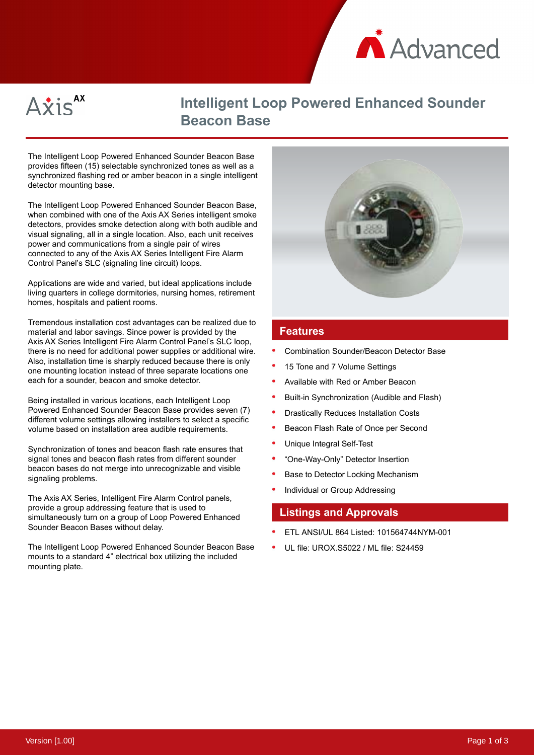



# **Intelligent Loop Powered Enhanced Sounder Beacon Base**

The Intelligent Loop Powered Enhanced Sounder Beacon Base provides fifteen (15) selectable synchronized tones as well as a synchronized flashing red or amber beacon in a single intelligent detector mounting base.

The Intelligent Loop Powered Enhanced Sounder Beacon Base, when combined with one of the Axis AX Series intelligent smoke detectors, provides smoke detection along with both audible and visual signaling, all in a single location. Also, each unit receives power and communications from a single pair of wires connected to any of the Axis AX Series Intelligent Fire Alarm Control Panel's SLC (signaling line circuit) loops.

Applications are wide and varied, but ideal applications include living quarters in college dormitories, nursing homes, retirement homes, hospitals and patient rooms.

Tremendous installation cost advantages can be realized due to material and labor savings. Since power is provided by the Axis AX Series Intelligent Fire Alarm Control Panel's SLC loop, there is no need for additional power supplies or additional wire. Also, installation time is sharply reduced because there is only one mounting location instead of three separate locations one each for a sounder, beacon and smoke detector.

Being installed in various locations, each Intelligent Loop Powered Enhanced Sounder Beacon Base provides seven (7) different volume settings allowing installers to select a specific volume based on installation area audible requirements.

Synchronization of tones and beacon flash rate ensures that signal tones and beacon flash rates from different sounder beacon bases do not merge into unrecognizable and visible signaling problems.

The Axis AX Series, Intelligent Fire Alarm Control panels, provide a group addressing feature that is used to simultaneously turn on a group of Loop Powered Enhanced Sounder Beacon Bases without delay.

The Intelligent Loop Powered Enhanced Sounder Beacon Base mounts to a standard 4" electrical box utilizing the included mounting plate.



### **Features**

- Combination Sounder/Beacon Detector Base
- 15 Tone and 7 Volume Settings
- Available with Red or Amber Beacon
- Built-in Synchronization (Audible and Flash)
- Drastically Reduces Installation Costs
- Beacon Flash Rate of Once per Second
- Unique Integral Self-Test
- "One-Way-Only" Detector Insertion
- Base to Detector Locking Mechanism
- Individual or Group Addressing

### **Listings and Approvals**

- ETL ANSI/UL 864 Listed: 101564744NYM-001
- UL file: UROX.S5022 / ML file: S24459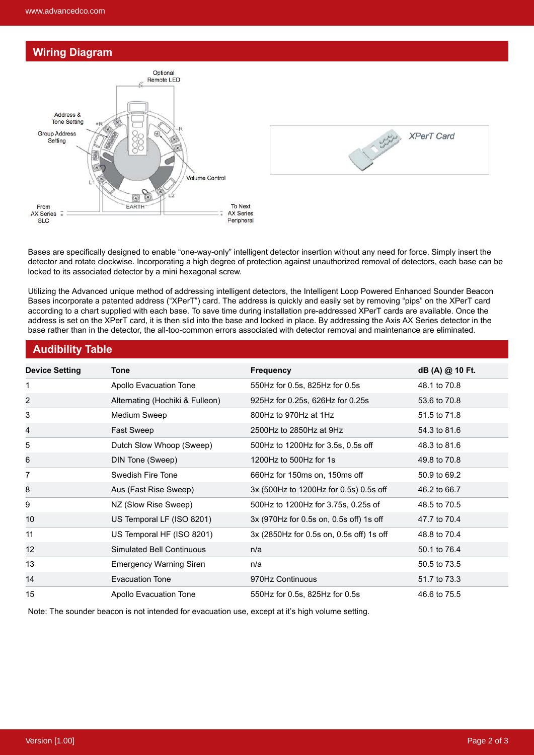## **Wiring Diagram**





Bases are specifically designed to enable "one-way-only" intelligent detector insertion without any need for force. Simply insert the detector and rotate clockwise. Incorporating a high degree of protection against unauthorized removal of detectors, each base can be locked to its associated detector by a mini hexagonal screw.

Utilizing the Advanced unique method of addressing intelligent detectors, the Intelligent Loop Powered Enhanced Sounder Beacon Bases incorporate a patented address ("XPerT") card. The address is quickly and easily set by removing "pips" on the XPerT card according to a chart supplied with each base. To save time during installation pre-addressed XPerT cards are available. Once the address is set on the XPerT card, it is then slid into the base and locked in place. By addressing the Axis AX Series detector in the base rather than in the detector, the all-too-common errors associated with detector removal and maintenance are eliminated.

## **Audibility Table**

| <b>Device Setting</b> | <b>Tone</b>                     | <b>Frequency</b>                         | dB (A) @ 10 Ft. |
|-----------------------|---------------------------------|------------------------------------------|-----------------|
| 1                     | Apollo Evacuation Tone          | 550Hz for 0.5s, 825Hz for 0.5s           | 48.1 to 70.8    |
| 2                     | Alternating (Hochiki & Fulleon) | 925Hz for 0.25s, 626Hz for 0.25s         | 53.6 to 70.8    |
| 3                     | Medium Sweep                    | 800Hz to 970Hz at 1Hz                    | 51.5 to 71.8    |
| 4                     | Fast Sweep                      | 2500Hz to 2850Hz at 9Hz                  | 54.3 to 81.6    |
| 5                     | Dutch Slow Whoop (Sweep)        | 500Hz to 1200Hz for 3.5s, 0.5s off       | 48.3 to 81.6    |
| 6                     | DIN Tone (Sweep)                | 1200Hz to 500Hz for 1s                   | 49.8 to 70.8    |
| 7                     | Swedish Fire Tone               | 660Hz for 150ms on, 150ms off            | 50.9 to 69.2    |
| 8                     | Aus (Fast Rise Sweep)           | 3x (500Hz to 1200Hz for 0.5s) 0.5s off   | 46.2 to 66.7    |
| 9                     | NZ (Slow Rise Sweep)            | 500Hz to 1200Hz for 3.75s, 0.25s of      | 48.5 to 70.5    |
| 10                    | US Temporal LF (ISO 8201)       | 3x (970Hz for 0.5s on, 0.5s off) 1s off  | 47.7 to 70.4    |
| 11                    | US Temporal HF (ISO 8201)       | 3x (2850Hz for 0.5s on, 0.5s off) 1s off | 48.8 to 70.4    |
| 12                    | Simulated Bell Continuous       | n/a                                      | 50.1 to 76.4    |
| 13                    | <b>Emergency Warning Siren</b>  | n/a                                      | 50.5 to 73.5    |
| 14                    | Evacuation Tone                 | 970Hz Continuous                         | 51.7 to 73.3    |
| 15                    | <b>Apollo Evacuation Tone</b>   | 550Hz for 0.5s, 825Hz for 0.5s           | 46.6 to 75.5    |

Note: The sounder beacon is not intended for evacuation use, except at it's high volume setting.